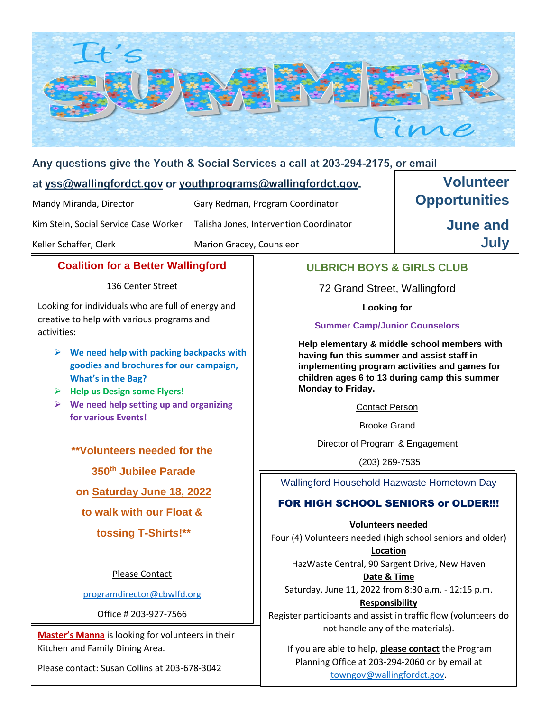

#### Any questions give the Youth & Social Services a call at 203-294-2175, or email

#### at yss@wallingfordct.gov or youthprograms@wallingfordct.gov.

Mandy Miranda, Director Gary Redman, Program Coordinator

Kim Stein, Social Service Case Worker Talisha Jones, Intervention Coordinator

Keller Schaffer, Clerk Marion Gracey, Counsleor

**Volunteer Opportunities** 

> **June and July**

#### **Coalition for a Better Wallingford**

136 Center Street

Looking for individuals who are full of energy and creative to help with various programs and activities:

- **We need help with packing backpacks with goodies and brochures for our campaign, What's in the Bag?**
- **Help us Design some Flyers!**
- **We need help setting up and organizing for various Events!**

**\*\*Volunteers needed for the**

**350th Jubilee Parade**

**on Saturday June 18, 2022**

**to walk with our Float &**

**tossing T-Shirts!\*\***

Please Contact

[programdirector@cbwlfd.org](mailto:programdirector@cbwlfd.org)

Office # 203-927-7566

**Master's Manna** is looking for volunteers in their Kitchen and Family Dining Area.

Please contact: Susan Collins at 203-678-3042

## **ULBRICH BOYS & GIRLS CLUB**

72 Grand Street, Wallingford

**Looking for** 

#### **Summer Camp/Junior Counselors**

**Help elementary & middle school members with having fun this summer and assist staff in implementing program activities and games for children ages 6 to 13 during camp this summer Monday to Friday.**

Contact Person

Brooke Grand

Director of Program & Engagement

(203) 269-7535

Wallingford Household Hazwaste Hometown Day

### FOR HIGH SCHOOL SENIORS or OLDER!!!

**Volunteers needed**

Four (4) Volunteers needed (high school seniors and older)

**Location** HazWaste Central, 90 Sargent Drive, New Haven **Date & Time**

Saturday, June 11, 2022 from 8:30 a.m. - 12:15 p.m. **Responsibility**

Register participants and assist in traffic flow (volunteers do not handle any of the materials).

If you are able to help, **please contact** the Program Planning Office at 203-294-2060 or by email at [towngov@wallingfordct.gov.](mailto:towngov@wallingfordct.gov)